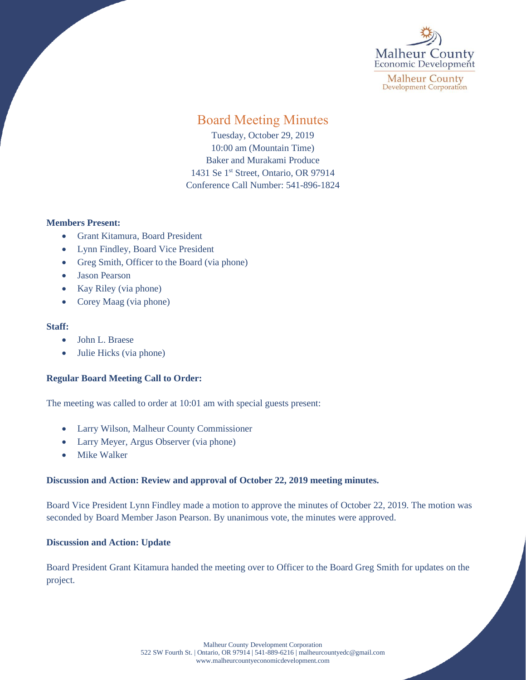

**Malheur County Development Corporation** 

# Board Meeting Minutes

Tuesday, October 29, 2019 10:00 am (Mountain Time) Baker and Murakami Produce 1431 Se 1<sup>st</sup> Street, Ontario, OR 97914 Conference Call Number: 541-896-1824

## **Members Present:**

- Grant Kitamura, Board President
- Lynn Findley, Board Vice President
- Greg Smith, Officer to the Board (via phone)
- Jason Pearson
- Kay Riley (via phone)
- Corey Maag (via phone)

### **Staff:**

- John L. Braese
- Julie Hicks (via phone)

## **Regular Board Meeting Call to Order:**

The meeting was called to order at 10:01 am with special guests present:

- Larry Wilson, Malheur County Commissioner
- Larry Meyer, Argus Observer (via phone)
- Mike Walker

## **Discussion and Action: Review and approval of October 22, 2019 meeting minutes.**

Board Vice President Lynn Findley made a motion to approve the minutes of October 22, 2019. The motion was seconded by Board Member Jason Pearson. By unanimous vote, the minutes were approved.

## **Discussion and Action: Update**

Board President Grant Kitamura handed the meeting over to Officer to the Board Greg Smith for updates on the project.